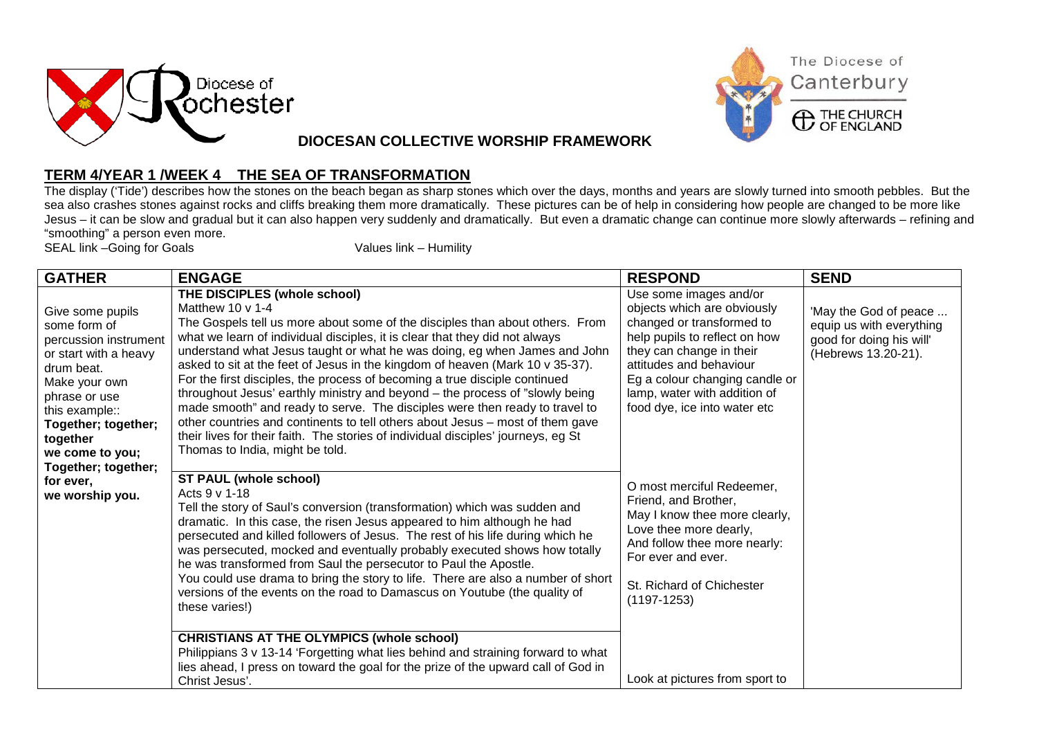



**DIOCESAN COLLECTIVE WORSHIP FRAMEWORK**

## **TERM 4/YEAR 1 /WEEK 4 THE SEA OF TRANSFORMATION**

The display ('Tide') describes how the stones on the beach began as sharp stones which over the days, months and years are slowly turned into smooth pebbles. But the sea also crashes stones against rocks and cliffs breaking them more dramatically. These pictures can be of help in considering how people are changed to be more like Jesus – it can be slow and gradual but it can also happen very suddenly and dramatically. But even a dramatic change can continue more slowly afterwards – refining and "smoothing" a person even more.

SEAL link -Going for Goals Values link – Humility

| <b>GATHER</b>                                                                                                                                                                                                                                                     | <b>ENGAGE</b>                                                                                                                                                                                                                                                                                                                                                                                                                                                                                                                                                                                                                                                                                                                                                                                                                                                               | <b>RESPOND</b>                                                                                                                                                                                                                                                               | <b>SEND</b>                                                                                          |
|-------------------------------------------------------------------------------------------------------------------------------------------------------------------------------------------------------------------------------------------------------------------|-----------------------------------------------------------------------------------------------------------------------------------------------------------------------------------------------------------------------------------------------------------------------------------------------------------------------------------------------------------------------------------------------------------------------------------------------------------------------------------------------------------------------------------------------------------------------------------------------------------------------------------------------------------------------------------------------------------------------------------------------------------------------------------------------------------------------------------------------------------------------------|------------------------------------------------------------------------------------------------------------------------------------------------------------------------------------------------------------------------------------------------------------------------------|------------------------------------------------------------------------------------------------------|
| Give some pupils<br>some form of<br>percussion instrument<br>or start with a heavy<br>drum beat.<br>Make your own<br>phrase or use<br>this example::<br>Together; together;<br>together<br>we come to you;<br>Together; together;<br>for ever,<br>we worship you. | THE DISCIPLES (whole school)<br>Matthew 10 $\vee$ 1-4<br>The Gospels tell us more about some of the disciples than about others. From<br>what we learn of individual disciples, it is clear that they did not always<br>understand what Jesus taught or what he was doing, eg when James and John<br>asked to sit at the feet of Jesus in the kingdom of heaven (Mark 10 v 35-37).<br>For the first disciples, the process of becoming a true disciple continued<br>throughout Jesus' earthly ministry and beyond – the process of "slowly being<br>made smooth" and ready to serve. The disciples were then ready to travel to<br>other countries and continents to tell others about Jesus – most of them gave<br>their lives for their faith. The stories of individual disciples' journeys, eg St<br>Thomas to India, might be told.                                    | Use some images and/or<br>objects which are obviously<br>changed or transformed to<br>help pupils to reflect on how<br>they can change in their<br>attitudes and behaviour<br>Eg a colour changing candle or<br>lamp, water with addition of<br>food dye, ice into water etc | 'May the God of peace<br>equip us with everything<br>good for doing his will'<br>(Hebrews 13.20-21). |
|                                                                                                                                                                                                                                                                   | <b>ST PAUL (whole school)</b><br>Acts 9 v 1-18<br>Tell the story of Saul's conversion (transformation) which was sudden and<br>dramatic. In this case, the risen Jesus appeared to him although he had<br>persecuted and killed followers of Jesus. The rest of his life during which he<br>was persecuted, mocked and eventually probably executed shows how totally<br>he was transformed from Saul the persecutor to Paul the Apostle.<br>You could use drama to bring the story to life. There are also a number of short<br>versions of the events on the road to Damascus on Youtube (the quality of<br>these varies!)<br><b>CHRISTIANS AT THE OLYMPICS (whole school)</b><br>Philippians 3 v 13-14 'Forgetting what lies behind and straining forward to what<br>lies ahead, I press on toward the goal for the prize of the upward call of God in<br>Christ Jesus'. | O most merciful Redeemer,<br>Friend, and Brother,<br>May I know thee more clearly,<br>Love thee more dearly,<br>And follow thee more nearly:<br>For ever and ever.<br>St. Richard of Chichester<br>$(1197-1253)$<br>Look at pictures from sport to                           |                                                                                                      |